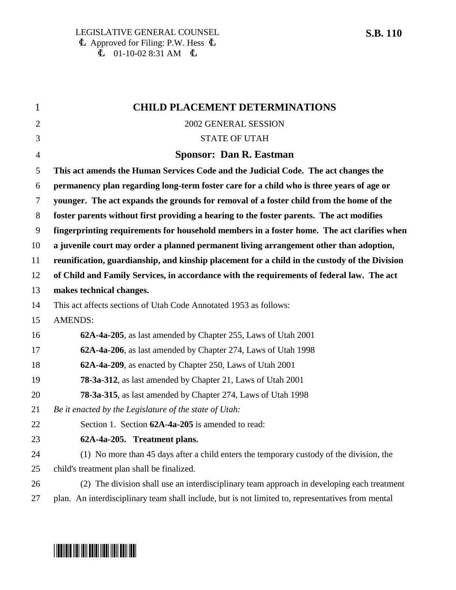# 1 **CHILD PLACEMENT DETERMINATIONS** 2 2002 GENERAL SESSION 3 STATE OF UTAH 4 **Sponsor: Dan R. Eastman** 5 **This act amends the Human Services Code and the Judicial Code. The act changes the** 6 **permanency plan regarding long-term foster care for a child who is three years of age or** 7 **younger. The act expands the grounds for removal of a foster child from the home of the** 8 **foster parents without first providing a hearing to the foster parents. The act modifies** 9 **fingerprinting requirements for household members in a foster home. The act clarifies when** 10 **a juvenile court may order a planned permanent living arrangement other than adoption,** 11 **reunification, guardianship, and kinship placement for a child in the custody of the Division** 12 **of Child and Family Services, in accordance with the requirements of federal law. The act** 13 **makes technical changes.** 14 This act affects sections of Utah Code Annotated 1953 as follows: 15 AMENDS: 16 **62A-4a-205**, as last amended by Chapter 255, Laws of Utah 2001 17 **62A-4a-206**, as last amended by Chapter 274, Laws of Utah 1998 18 **62A-4a-209**, as enacted by Chapter 250, Laws of Utah 2001 19 **78-3a-312**, as last amended by Chapter 21, Laws of Utah 2001 20 **78-3a-315**, as last amended by Chapter 274, Laws of Utah 1998 21 *Be it enacted by the Legislature of the state of Utah:* 22 Section 1. Section **62A-4a-205** is amended to read: 23 **62A-4a-205. Treatment plans.** 24 (1) No more than 45 days after a child enters the temporary custody of the division, the 25 child's treatment plan shall be finalized. 26 (2) The division shall use an interdisciplinary team approach in developing each treatment

27 plan. An interdisciplinary team shall include, but is not limited to, representatives from mental

# \*SB0110\*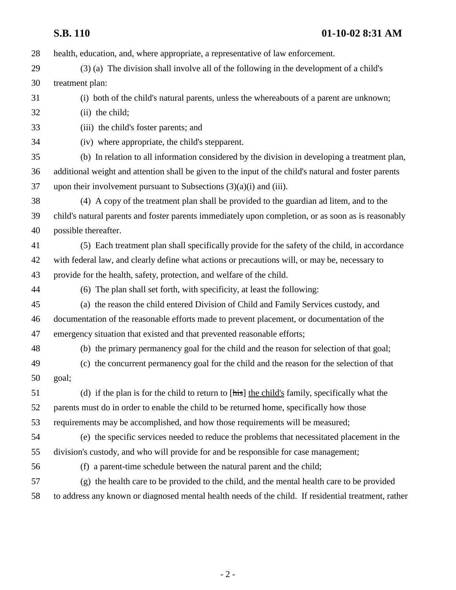28 health, education, and, where appropriate, a representative of law enforcement.

- 29 (3) (a) The division shall involve all of the following in the development of a child's 30 treatment plan:
- 31 (i) both of the child's natural parents, unless the whereabouts of a parent are unknown;
- 32 (ii) the child;
- 33 (iii) the child's foster parents; and
- 34 (iv) where appropriate, the child's stepparent.
- 35 (b) In relation to all information considered by the division in developing a treatment plan, 36 additional weight and attention shall be given to the input of the child's natural and foster parents 37 upon their involvement pursuant to Subsections (3)(a)(i) and (iii).
- 38 (4) A copy of the treatment plan shall be provided to the guardian ad litem, and to the 39 child's natural parents and foster parents immediately upon completion, or as soon as is reasonably 40 possible thereafter.
- 41 (5) Each treatment plan shall specifically provide for the safety of the child, in accordance 42 with federal law, and clearly define what actions or precautions will, or may be, necessary to 43 provide for the health, safety, protection, and welfare of the child.
- 

44 (6) The plan shall set forth, with specificity, at least the following:

- 45 (a) the reason the child entered Division of Child and Family Services custody, and 46 documentation of the reasonable efforts made to prevent placement, or documentation of the 47 emergency situation that existed and that prevented reasonable efforts;
- 

48 (b) the primary permanency goal for the child and the reason for selection of that goal;

- 49 (c) the concurrent permanency goal for the child and the reason for the selection of that 50 goal;
- 51 (d) if the plan is for the child to return to [his] the child's family, specifically what the 52 parents must do in order to enable the child to be returned home, specifically how those 53 requirements may be accomplished, and how those requirements will be measured;
- 
- 54 (e) the specific services needed to reduce the problems that necessitated placement in the 55 division's custody, and who will provide for and be responsible for case management;
- 

56 (f) a parent-time schedule between the natural parent and the child;

57 (g) the health care to be provided to the child, and the mental health care to be provided 58 to address any known or diagnosed mental health needs of the child. If residential treatment, rather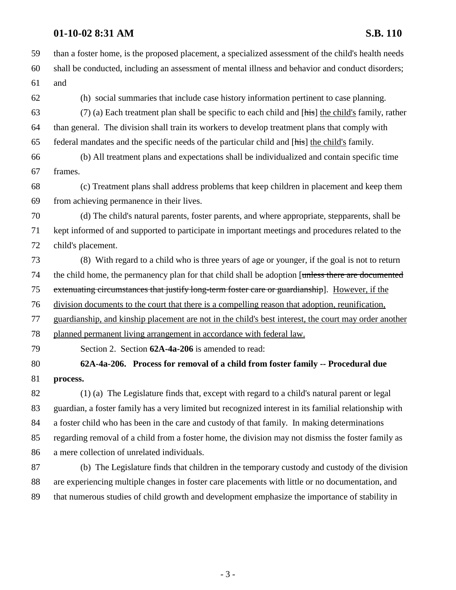| 59 | than a foster home, is the proposed placement, a specialized assessment of the child's health needs    |
|----|--------------------------------------------------------------------------------------------------------|
| 60 | shall be conducted, including an assessment of mental illness and behavior and conduct disorders;      |
| 61 | and                                                                                                    |
| 62 | (h) social summaries that include case history information pertinent to case planning.                 |
| 63 | $(7)$ (a) Each treatment plan shall be specific to each child and [his] the child's family, rather     |
| 64 | than general. The division shall train its workers to develop treatment plans that comply with         |
| 65 | federal mandates and the specific needs of the particular child and [his] the child's family.          |
| 66 | (b) All treatment plans and expectations shall be individualized and contain specific time             |
| 67 | frames.                                                                                                |
| 68 | (c) Treatment plans shall address problems that keep children in placement and keep them               |
| 69 | from achieving permanence in their lives.                                                              |
| 70 | (d) The child's natural parents, foster parents, and where appropriate, stepparents, shall be          |
| 71 | kept informed of and supported to participate in important meetings and procedures related to the      |
| 72 | child's placement.                                                                                     |
| 73 | (8) With regard to a child who is three years of age or younger, if the goal is not to return          |
| 74 | the child home, the permanency plan for that child shall be adoption [unless there are documented      |
| 75 | extenuating circumstances that justify long-term foster care or guardianship]. However, if the         |
| 76 | division documents to the court that there is a compelling reason that adoption, reunification,        |
| 77 | guardianship, and kinship placement are not in the child's best interest, the court may order another  |
| 78 | planned permanent living arrangement in accordance with federal law.                                   |
| 79 | Section 2. Section 62A-4a-206 is amended to read:                                                      |
| 80 | 62A-4a-206. Process for removal of a child from foster family -- Procedural due                        |
| 81 | process.                                                                                               |
| 82 | (1) (a) The Legislature finds that, except with regard to a child's natural parent or legal            |
| 83 | guardian, a foster family has a very limited but recognized interest in its familial relationship with |
| 84 | a foster child who has been in the care and custody of that family. In making determinations           |
| 85 | regarding removal of a child from a foster home, the division may not dismiss the foster family as     |
| 86 | a mere collection of unrelated individuals.                                                            |
| 87 | (b) The Legislature finds that children in the temporary custody and custody of the division           |
| 88 | are experiencing multiple changes in foster care placements with little or no documentation, and       |
| 89 | that numerous studies of child growth and development emphasize the importance of stability in         |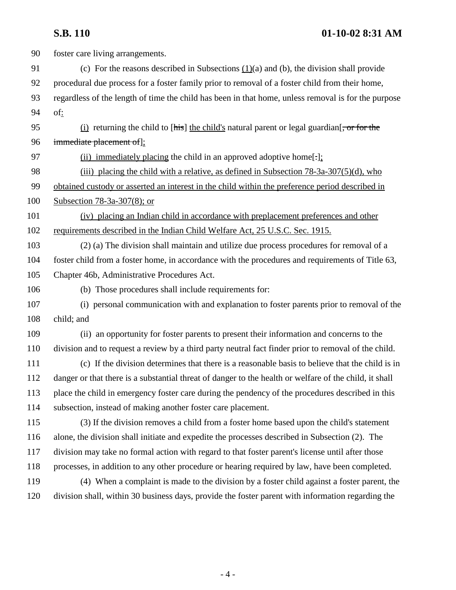### **S.B. 110 01-10-02 8:31 AM**

90 foster care living arrangements.

- 91 (c) For the reasons described in Subsections (1)(a) and (b), the division shall provide
- 92 procedural due process for a foster family prior to removal of a foster child from their home,
- 93 regardless of the length of time the child has been in that home, unless removal is for the purpose
- 94 of:
- 95 (i) returning the child to  $[\overline{\text{his}}]$  the child's natural parent or legal guardian.  $[\overline{\text{or}}]$  for the 96 immediate placement of  $\vert$ ;
- 97 (ii) immediately placing the child in an approved adoptive home[.];
- 98 (iii) placing the child with a relative, as defined in Subsection 78-3a-307(5)(d), who
- 99 obtained custody or asserted an interest in the child within the preference period described in
- 100 Subsection 78-3a-307(8); or
- 101 (iv) placing an Indian child in accordance with preplacement preferences and other 102 requirements described in the Indian Child Welfare Act, 25 U.S.C. Sec. 1915.
- 103 (2) (a) The division shall maintain and utilize due process procedures for removal of a 104 foster child from a foster home, in accordance with the procedures and requirements of Title 63, 105 Chapter 46b, Administrative Procedures Act.
- 106 (b) Those procedures shall include requirements for:
- 107 (i) personal communication with and explanation to foster parents prior to removal of the 108 child; and
- 109 (ii) an opportunity for foster parents to present their information and concerns to the 110 division and to request a review by a third party neutral fact finder prior to removal of the child.
- 111 (c) If the division determines that there is a reasonable basis to believe that the child is in 112 danger or that there is a substantial threat of danger to the health or welfare of the child, it shall 113 place the child in emergency foster care during the pendency of the procedures described in this 114 subsection, instead of making another foster care placement.
- 115 (3) If the division removes a child from a foster home based upon the child's statement 116 alone, the division shall initiate and expedite the processes described in Subsection (2). The 117 division may take no formal action with regard to that foster parent's license until after those 118 processes, in addition to any other procedure or hearing required by law, have been completed.
- 119 (4) When a complaint is made to the division by a foster child against a foster parent, the 120 division shall, within 30 business days, provide the foster parent with information regarding the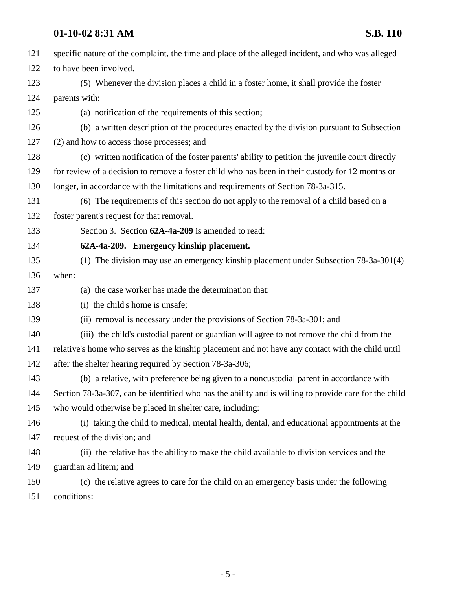121 specific nature of the complaint, the time and place of the alleged incident, and who was alleged 122 to have been involved. 123 (5) Whenever the division places a child in a foster home, it shall provide the foster 124 parents with: 125 (a) notification of the requirements of this section; 126 (b) a written description of the procedures enacted by the division pursuant to Subsection 127 (2) and how to access those processes; and 128 (c) written notification of the foster parents' ability to petition the juvenile court directly 129 for review of a decision to remove a foster child who has been in their custody for 12 months or 130 longer, in accordance with the limitations and requirements of Section 78-3a-315. 131 (6) The requirements of this section do not apply to the removal of a child based on a 132 foster parent's request for that removal. 133 Section 3. Section **62A-4a-209** is amended to read: 134 **62A-4a-209. Emergency kinship placement.** 135 (1) The division may use an emergency kinship placement under Subsection 78-3a-301(4) 136 when: 137 (a) the case worker has made the determination that: 138 (i) the child's home is unsafe; 139 (ii) removal is necessary under the provisions of Section 78-3a-301; and 140 (iii) the child's custodial parent or guardian will agree to not remove the child from the 141 relative's home who serves as the kinship placement and not have any contact with the child until 142 after the shelter hearing required by Section 78-3a-306; 143 (b) a relative, with preference being given to a noncustodial parent in accordance with 144 Section 78-3a-307, can be identified who has the ability and is willing to provide care for the child 145 who would otherwise be placed in shelter care, including: 146 (i) taking the child to medical, mental health, dental, and educational appointments at the 147 request of the division; and 148 (ii) the relative has the ability to make the child available to division services and the 149 guardian ad litem; and 150 (c) the relative agrees to care for the child on an emergency basis under the following 151 conditions: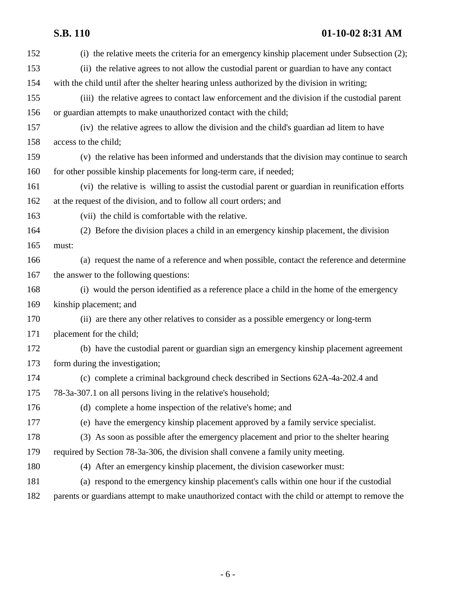## **S.B. 110 01-10-02 8:31 AM**

| 152 | (i) the relative meets the criteria for an emergency kinship placement under Subsection (2);      |
|-----|---------------------------------------------------------------------------------------------------|
| 153 | (ii) the relative agrees to not allow the custodial parent or guardian to have any contact        |
| 154 | with the child until after the shelter hearing unless authorized by the division in writing;      |
| 155 | (iii) the relative agrees to contact law enforcement and the division if the custodial parent     |
| 156 | or guardian attempts to make unauthorized contact with the child;                                 |
| 157 | (iv) the relative agrees to allow the division and the child's guardian ad litem to have          |
| 158 | access to the child;                                                                              |
| 159 | (v) the relative has been informed and understands that the division may continue to search       |
| 160 | for other possible kinship placements for long-term care, if needed;                              |
| 161 | (vi) the relative is willing to assist the custodial parent or guardian in reunification efforts  |
| 162 | at the request of the division, and to follow all court orders; and                               |
| 163 | (vii) the child is comfortable with the relative.                                                 |
| 164 | (2) Before the division places a child in an emergency kinship placement, the division            |
| 165 | must:                                                                                             |
| 166 | (a) request the name of a reference and when possible, contact the reference and determine        |
| 167 | the answer to the following questions:                                                            |
| 168 | (i) would the person identified as a reference place a child in the home of the emergency         |
| 169 | kinship placement; and                                                                            |
| 170 | (ii) are there any other relatives to consider as a possible emergency or long-term               |
| 171 | placement for the child;                                                                          |
| 172 | (b) have the custodial parent or guardian sign an emergency kinship placement agreement           |
| 173 | form during the investigation;                                                                    |
| 174 | (c) complete a criminal background check described in Sections 62A-4a-202.4 and                   |
| 175 | 78-3a-307.1 on all persons living in the relative's household;                                    |
| 176 | (d) complete a home inspection of the relative's home; and                                        |
| 177 | (e) have the emergency kinship placement approved by a family service specialist.                 |
| 178 | (3) As soon as possible after the emergency placement and prior to the shelter hearing            |
| 179 | required by Section 78-3a-306, the division shall convene a family unity meeting.                 |
| 180 | (4) After an emergency kinship placement, the division caseworker must:                           |
| 181 | (a) respond to the emergency kinship placement's calls within one hour if the custodial           |
| 182 | parents or guardians attempt to make unauthorized contact with the child or attempt to remove the |
|     |                                                                                                   |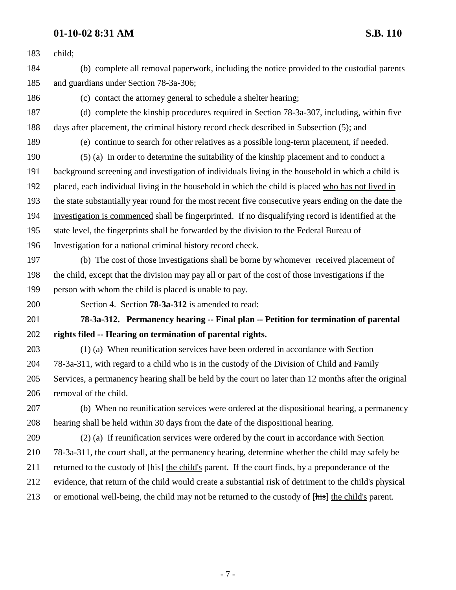183 child;

184 (b) complete all removal paperwork, including the notice provided to the custodial parents 185 and guardians under Section 78-3a-306;

186 (c) contact the attorney general to schedule a shelter hearing;

187 (d) complete the kinship procedures required in Section 78-3a-307, including, within five 188 days after placement, the criminal history record check described in Subsection (5); and

189 (e) continue to search for other relatives as a possible long-term placement, if needed.

190 (5) (a) In order to determine the suitability of the kinship placement and to conduct a 191 background screening and investigation of individuals living in the household in which a child is

192 placed, each individual living in the household in which the child is placed who has not lived in

193 the state substantially year round for the most recent five consecutive years ending on the date the

194 investigation is commenced shall be fingerprinted. If no disqualifying record is identified at the

195 state level, the fingerprints shall be forwarded by the division to the Federal Bureau of 196 Investigation for a national criminal history record check.

197 (b) The cost of those investigations shall be borne by whomever received placement of 198 the child, except that the division may pay all or part of the cost of those investigations if the 199 person with whom the child is placed is unable to pay.

200 Section 4. Section **78-3a-312** is amended to read:

201 **78-3a-312. Permanency hearing -- Final plan -- Petition for termination of parental** 202 **rights filed -- Hearing on termination of parental rights.**

203 (1) (a) When reunification services have been ordered in accordance with Section 204 78-3a-311, with regard to a child who is in the custody of the Division of Child and Family 205 Services, a permanency hearing shall be held by the court no later than 12 months after the original 206 removal of the child.

207 (b) When no reunification services were ordered at the dispositional hearing, a permanency 208 hearing shall be held within 30 days from the date of the dispositional hearing.

209 (2) (a) If reunification services were ordered by the court in accordance with Section 210 78-3a-311, the court shall, at the permanency hearing, determine whether the child may safely be 211 returned to the custody of [his] the child's parent. If the court finds, by a preponderance of the 212 evidence, that return of the child would create a substantial risk of detriment to the child's physical 213 or emotional well-being, the child may not be returned to the custody of [his] the child's parent.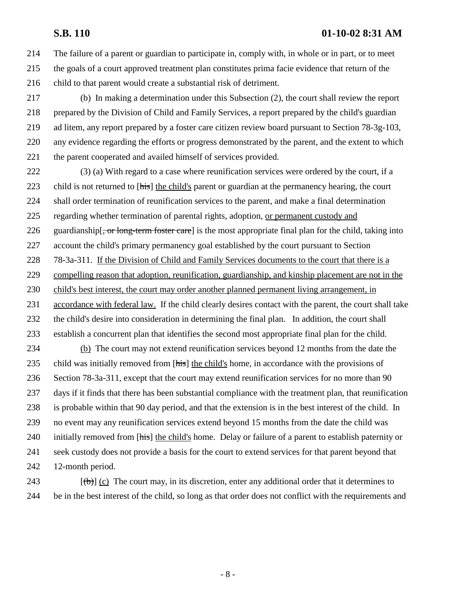### **S.B. 110 01-10-02 8:31 AM**

214 The failure of a parent or guardian to participate in, comply with, in whole or in part, or to meet 215 the goals of a court approved treatment plan constitutes prima facie evidence that return of the 216 child to that parent would create a substantial risk of detriment.

- 217 (b) In making a determination under this Subsection (2), the court shall review the report 218 prepared by the Division of Child and Family Services, a report prepared by the child's guardian 219 ad litem, any report prepared by a foster care citizen review board pursuant to Section 78-3g-103, 220 any evidence regarding the efforts or progress demonstrated by the parent, and the extent to which 221 the parent cooperated and availed himself of services provided.
- 222 (3) (a) With regard to a case where reunification services were ordered by the court, if a 223 child is not returned to [his] the child's parent or guardian at the permanency hearing, the court 224 shall order termination of reunification services to the parent, and make a final determination 225 regarding whether termination of parental rights, adoption, or permanent custody and 226 guardianship. The orterm form of the most appropriate final plan for the child, taking into 227 account the child's primary permanency goal established by the court pursuant to Section 228 78-3a-311. If the Division of Child and Family Services documents to the court that there is a 229 compelling reason that adoption, reunification, guardianship, and kinship placement are not in the 230 child's best interest, the court may order another planned permanent living arrangement, in 231 accordance with federal law. If the child clearly desires contact with the parent, the court shall take 232 the child's desire into consideration in determining the final plan. In addition, the court shall 233 establish a concurrent plan that identifies the second most appropriate final plan for the child. 234 (b) The court may not extend reunification services beyond 12 months from the date the 235 child was initially removed from [his] the child's home, in accordance with the provisions of 236 Section 78-3a-311, except that the court may extend reunification services for no more than 90 237 days if it finds that there has been substantial compliance with the treatment plan, that reunification 238 is probable within that 90 day period, and that the extension is in the best interest of the child. In 239 no event may any reunification services extend beyond 15 months from the date the child was 240 initially removed from [his] the child's home. Delay or failure of a parent to establish paternity or
- 241 seek custody does not provide a basis for the court to extend services for that parent beyond that 242 12-month period.
- 243  $[\left(\ddot{\theta}\right)]$  (c) The court may, in its discretion, enter any additional order that it determines to 244 be in the best interest of the child, so long as that order does not conflict with the requirements and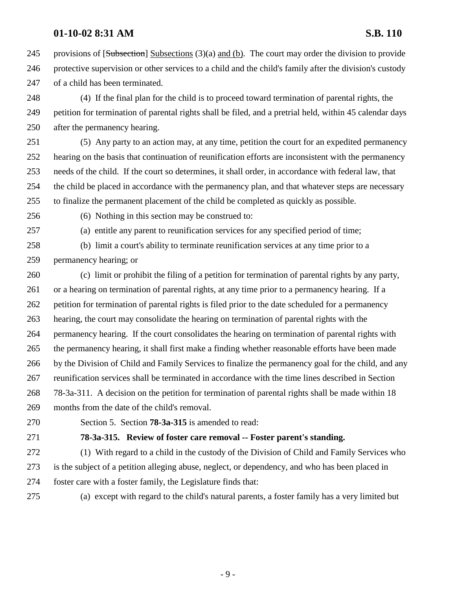245 provisions of [Subsection] Subsections (3)(a) and (b). The court may order the division to provide 246 protective supervision or other services to a child and the child's family after the division's custody 247 of a child has been terminated.

248 (4) If the final plan for the child is to proceed toward termination of parental rights, the 249 petition for termination of parental rights shall be filed, and a pretrial held, within 45 calendar days 250 after the permanency hearing.

251 (5) Any party to an action may, at any time, petition the court for an expedited permanency 252 hearing on the basis that continuation of reunification efforts are inconsistent with the permanency 253 needs of the child. If the court so determines, it shall order, in accordance with federal law, that 254 the child be placed in accordance with the permanency plan, and that whatever steps are necessary 255 to finalize the permanent placement of the child be completed as quickly as possible.

256 (6) Nothing in this section may be construed to:

257 (a) entitle any parent to reunification services for any specified period of time;

258 (b) limit a court's ability to terminate reunification services at any time prior to a 259 permanency hearing; or

260 (c) limit or prohibit the filing of a petition for termination of parental rights by any party, 261 or a hearing on termination of parental rights, at any time prior to a permanency hearing. If a 262 petition for termination of parental rights is filed prior to the date scheduled for a permanency 263 hearing, the court may consolidate the hearing on termination of parental rights with the 264 permanency hearing. If the court consolidates the hearing on termination of parental rights with 265 the permanency hearing, it shall first make a finding whether reasonable efforts have been made 266 by the Division of Child and Family Services to finalize the permanency goal for the child, and any 267 reunification services shall be terminated in accordance with the time lines described in Section 268 78-3a-311. A decision on the petition for termination of parental rights shall be made within 18 269 months from the date of the child's removal.

270 Section 5. Section **78-3a-315** is amended to read:

#### 271 **78-3a-315. Review of foster care removal -- Foster parent's standing.**

272 (1) With regard to a child in the custody of the Division of Child and Family Services who 273 is the subject of a petition alleging abuse, neglect, or dependency, and who has been placed in 274 foster care with a foster family, the Legislature finds that:

275 (a) except with regard to the child's natural parents, a foster family has a very limited but